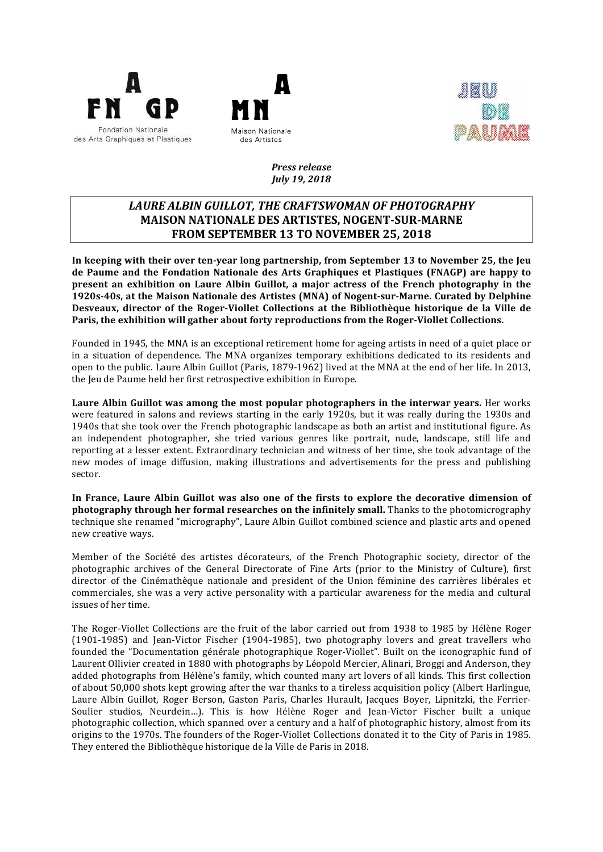





## *Press release July 19, 2018*

# LAURE ALBIN GUILLOT, THE CRAFTSWOMAN OF PHOTOGRAPHY **MAISON NATIONALE DES ARTISTES, NOGENT-SUR-MARNE FROM SEPTEMBER 13 TO NOVEMBER 25, 2018**

In keeping with their over ten-year long partnership, from September 13 to November 25, the Jeu de Paume and the Fondation Nationale des Arts Graphiques et Plastiques (FNAGP) are happy to **present an exhibition on Laure Albin Guillot, a major actress of the French photography in the 1920s-40s, at the Maison Nationale des Artistes (MNA) of Nogent-sur-Marne. Curated by Delphine** Desveaux, director of the Roger-Viollet Collections at the Bibliothèque historique de la Ville de **Paris, the exhibition will gather about forty reproductions from the Roger-Viollet Collections.** 

Founded in 1945, the MNA is an exceptional retirement home for ageing artists in need of a quiet place or in a situation of dependence. The MNA organizes temporary exhibitions dedicated to its residents and open to the public. Laure Albin Guillot (Paris, 1879-1962) lived at the MNA at the end of her life. In 2013, the Jeu de Paume held her first retrospective exhibition in Europe.

**Laure Albin Guillot was among the most popular photographers in the interwar years.** Her works were featured in salons and reviews starting in the early 1920s, but it was really during the 1930s and 1940s that she took over the French photographic landscape as both an artist and institutional figure. As an independent photographer, she tried various genres like portrait, nude, landscape, still life and reporting at a lesser extent. Extraordinary technician and witness of her time, she took advantage of the new modes of image diffusion, making illustrations and advertisements for the press and publishing sector. 

In France, Laure Albin Guillot was also one of the firsts to explore the decorative dimension of **photography through her formal researches on the infinitely small.** Thanks to the photomicrography technique she renamed "micrography", Laure Albin Guillot combined science and plastic arts and opened new creative ways.

Member of the Société des artistes décorateurs, of the French Photographic society, director of the photographic archives of the General Directorate of Fine Arts (prior to the Ministry of Culture), first director of the Cinémathèque nationale and president of the Union féminine des carrières libérales et commerciales, she was a very active personality with a particular awareness for the media and cultural issues of her time.

The Roger-Viollet Collections are the fruit of the labor carried out from 1938 to 1985 by Hélène Roger (1901-1985) and Jean-Victor Fischer (1904-1985), two photography lovers and great travellers who founded the "Documentation générale photographique Roger-Viollet". Built on the iconographic fund of Laurent Ollivier created in 1880 with photographs by Léopold Mercier, Alinari, Broggi and Anderson, they added photographs from Hélène's family, which counted many art lovers of all kinds. This first collection of about  $50,000$  shots kept growing after the war thanks to a tireless acquisition policy (Albert Harlingue, Laure Albin Guillot, Roger Berson, Gaston Paris, Charles Hurault, Jacques Boyer, Lipnitzki, the Ferrier-Soulier studios, Neurdein...). This is how Hélène Roger and Jean-Victor Fischer built a unique photographic collection, which spanned over a century and a half of photographic history, almost from its origins to the 1970s. The founders of the Roger-Viollet Collections donated it to the City of Paris in 1985. They entered the Bibliothèque historique de la Ville de Paris in 2018.